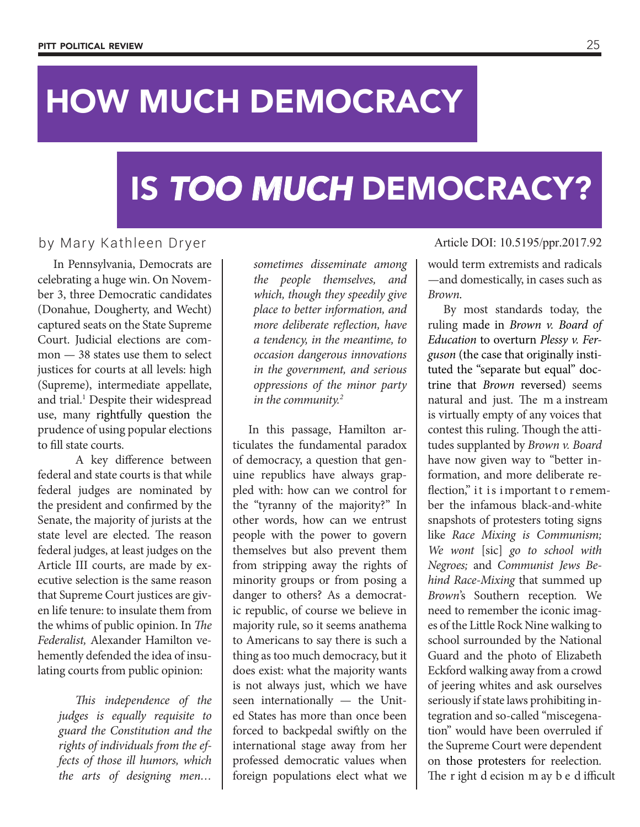## HOW MUCH DEMOCRACY

## IS *TOO MUCH* DEMOCRACY?

## by Mary Kathleen Dryer

In Pennsylvania, Democrats are celebrating a huge win. On November 3, three Democratic candidates (Donahue, Dougherty, and Wecht) captured seats on the State Supreme Court. Judicial elections are common — 38 states use them to select justices for courts at all levels: high (Supreme), intermediate appellate, and trial.<sup>1</sup> Despite their widespread use, many rightfully question the prudence of using popular elections to fill state courts.

A key difference between federal and state courts is that while federal judges are nominated by the president and confirmed by the Senate, the majority of jurists at the state level are elected. The reason federal judges, at least judges on the Article III courts, are made by executive selection is the same reason that Supreme Court justices are given life tenure: to insulate them from the whims of public opinion. In *The Federalist,* Alexander Hamilton vehemently defended the idea of insulating courts from public opinion:

> *This independence of the judges is equally requisite to guard the Constitution and the rights of individuals from the effects of those ill humors, which the arts of designing men…*

*sometimes disseminate among the people themselves, and which, though they speedily give place to better information, and more deliberate reflection, have a tendency, in the meantime, to occasion dangerous innovations in the government, and serious oppressions of the minor party in the community.2*

In this passage, Hamilton articulates the fundamental paradox of democracy, a question that genuine republics have always grappled with: how can we control for the "tyranny of the majority?" In other words, how can we entrust people with the power to govern themselves but also prevent them from stripping away the rights of minority groups or from posing a danger to others? As a democratic republic, of course we believe in majority rule, so it seems anathema to Americans to say there is such a thing as too much democracy, but it does exist: what the majority wants is not always just, which we have seen internationally — the United States has more than once been forced to backpedal swiftly on the international stage away from her professed democratic values when foreign populations elect what we

Article DOI: 10.5195/ppr.2017.92

would term extremists and radicals —and domestically, in cases such as *Brown.*

By most standards today, the ruling made in *Brown v. Board of Education* to overturn *Plessy v. Ferguson* (the case that originally instituted the "separate but equal" doctrine that *Brown* reversed) seems natural and just. The m a instream is virtually empty of any voices that contest this ruling. Though the attitudes supplanted by *Brown v. Board* have now given way to "better information, and more deliberate reflection," it is important to remember the infamous black-and-white snapshots of protesters toting signs like *Race Mixing is Communism; We wont* [sic] *go to school with Negroes;* and *Communist Jews Behind Race-Mixing* that summed up *Brown*'s Southern reception*.* We need to remember the iconic images of the Little Rock Nine walking to school surrounded by the National Guard and the photo of Elizabeth Eckford walking away from a crowd of jeering whites and ask ourselves seriously if state laws prohibiting integration and so-called "miscegenation" would have been overruled if the Supreme Court were dependent on those protesters for reelection*.* The r ight d ecision m ay b e d ifficult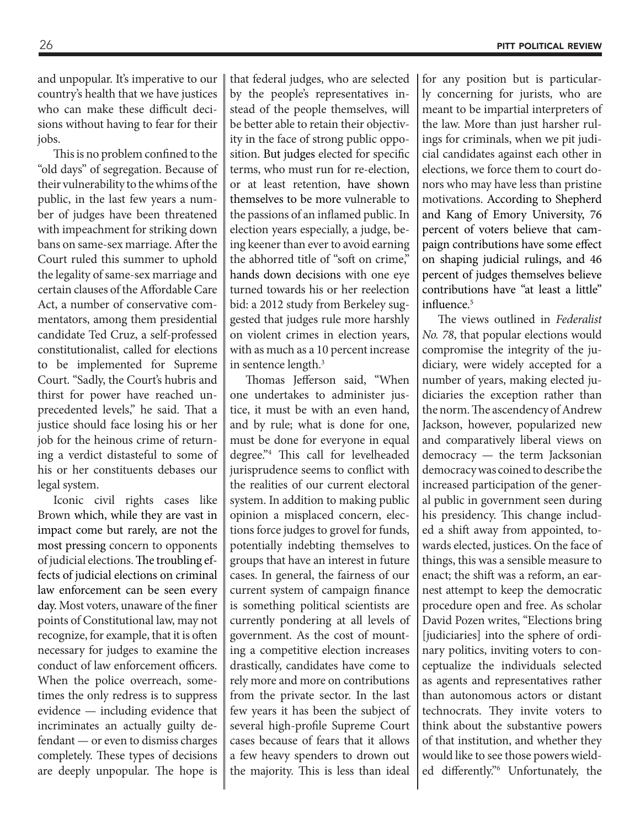and unpopular. It's imperative to our country's health that we have justices who can make these difficult decisions without having to fear for their jobs.

This is no problem confined to the "old days" of segregation. Because of their vulnerability to the whims of the public, in the last few years a number of judges have been threatened with impeachment for striking down bans on same-sex marriage. After the Court ruled this summer to uphold the legality of same-sex marriage and certain clauses of the Affordable Care Act, a number of conservative commentators, among them presidential candidate Ted Cruz, a self-professed constitutionalist, called for elections to be implemented for Supreme Court. "Sadly, the Court's hubris and thirst for power have reached unprecedented levels," he said. That a justice should face losing his or her job for the heinous crime of returning a verdict distasteful to some of his or her constituents debases our legal system.

Iconic civil rights cases like Brown which, while they are vast in impact come but rarely, are not the most pressing concern to opponents of judicial elections. The troubling effects of judicial elections on criminal law enforcement can be seen every day. Most voters, unaware of the finer points of Constitutional law, may not recognize, for example, that it is often necessary for judges to examine the conduct of law enforcement officers. When the police overreach, sometimes the only redress is to suppress evidence — including evidence that incriminates an actually guilty defendant — or even to dismiss charges completely. These types of decisions are deeply unpopular. The hope is

that federal judges, who are selected by the people's representatives instead of the people themselves, will be better able to retain their objectivity in the face of strong public opposition. But judges elected for specific terms, who must run for re-election, or at least retention, have shown themselves to be more vulnerable to the passions of an inflamed public. In election years especially, a judge, being keener than ever to avoid earning the abhorred title of "soft on crime," hands down decisions with one eye turned towards his or her reelection bid: a 2012 study from Berkeley suggested that judges rule more harshly on violent crimes in election years, with as much as a 10 percent increase in sentence length.<sup>3</sup>

Thomas Jefferson said, "When one undertakes to administer justice, it must be with an even hand, and by rule; what is done for one, must be done for everyone in equal degree."4 This call for levelheaded jurisprudence seems to conflict with the realities of our current electoral system. In addition to making public opinion a misplaced concern, elections force judges to grovel for funds, potentially indebting themselves to groups that have an interest in future cases. In general, the fairness of our current system of campaign finance is something political scientists are currently pondering at all levels of government. As the cost of mounting a competitive election increases drastically, candidates have come to rely more and more on contributions from the private sector. In the last few years it has been the subject of several high-profile Supreme Court cases because of fears that it allows a few heavy spenders to drown out the majority. This is less than ideal

for any position but is particularly concerning for jurists, who are meant to be impartial interpreters of the law. More than just harsher rulings for criminals, when we pit judicial candidates against each other in elections, we force them to court donors who may have less than pristine motivations. According to Shepherd and Kang of Emory University, 76 percent of voters believe that campaign contributions have some effect on shaping judicial rulings, and 46 percent of judges themselves believe contributions have "at least a little" influence.<sup>5</sup>

The views outlined in *Federalist No. 78*, that popular elections would compromise the integrity of the judiciary, were widely accepted for a number of years, making elected judiciaries the exception rather than the norm. The ascendency of Andrew Jackson, however, popularized new and comparatively liberal views on democracy — the term Jacksonian democracy was coined to describe the increased participation of the general public in government seen during his presidency. This change included a shift away from appointed, towards elected, justices. On the face of things, this was a sensible measure to enact; the shift was a reform, an earnest attempt to keep the democratic procedure open and free. As scholar David Pozen writes, "Elections bring [judiciaries] into the sphere of ordinary politics, inviting voters to conceptualize the individuals selected as agents and representatives rather than autonomous actors or distant technocrats. They invite voters to think about the substantive powers of that institution, and whether they would like to see those powers wielded differently."6 Unfortunately, the